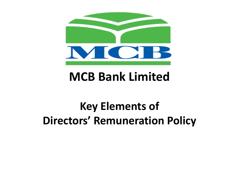

## **MCB Bank Limited**

## **Key Elements of Directors' Remuneration Policy**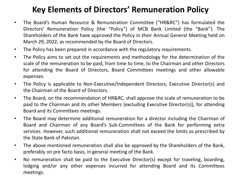## **Key Elements of Directors' Remuneration Policy**

- The Board's Human Resource & Remuneration Committee ("HR&RC") has formulated the Directors' Remuneration Policy (the "Policy") of MCB Bank Limited (the "Bank"). The Shareholders of the Bank have approved the Policy in their Annual General Meeting held on March 29, 2022, as recommended by the Board of Directors.
- The Policy has been prepared in accordance with the regulatory requirements.
- The Policy aims to set out the requirements and methodology for the determination of the scale of the remuneration to be paid, from time to time, to the Chairman and other Directors for attending the Board of Directors, Board Committees meetings and other allowable expenses.
- The Policy is applicable to Non-Executive/Independent Directors, Executive Director(s) and the Chairman of the Board of Directors.
- The Board, on the recommendation of HR&RC, shall approve the scale of remuneration to be paid to the Chairman and its other Members {excluding Executive Director(s)}, for attending Board and its Committees meetings.
- The Board may determine additional remuneration for a director including the Chairman of Board and Chairman of any Board's Sub-Committees of the Bank for performing extra services. However, such additional remuneration shall not exceed the limits as prescribed by the State Bank of Pakistan.
- The above mentioned remuneration shall also be approved by the Shareholders of the Bank, preferably on pre facto basis, in general meeting of the Bank.
- No remuneration shall be paid to the Executive Director(s) except for traveling, boarding, lodging and/or any other expenses incurred for attending Board and its Committees meetings.